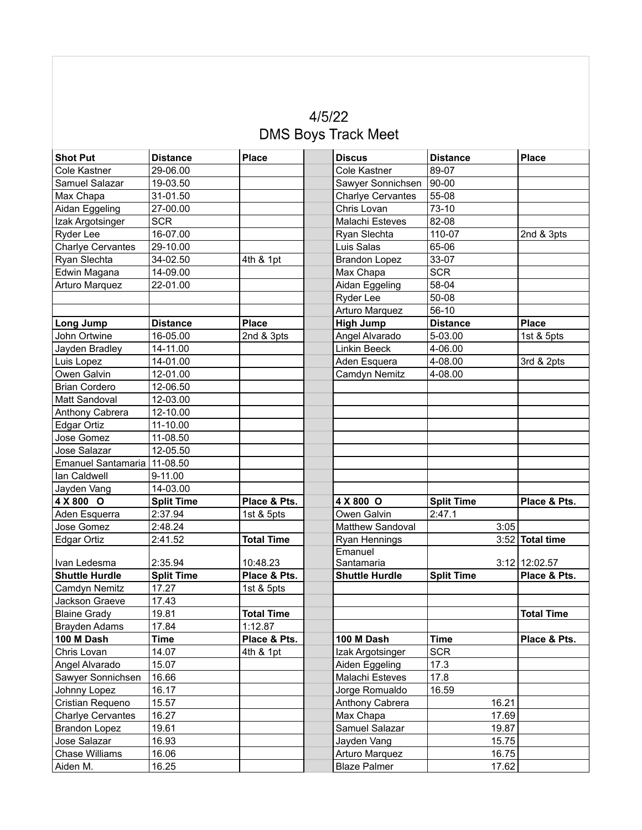## $4/5/22$ **DMS Boys Track Meet**

| <b>Shot Put</b>          | <b>Distance</b>   | <b>Place</b>      | <b>Discus</b>            | <b>Distance</b>   | <b>Place</b>      |
|--------------------------|-------------------|-------------------|--------------------------|-------------------|-------------------|
| <b>Cole Kastner</b>      | 29-06.00          |                   | <b>Cole Kastner</b>      | 89-07             |                   |
| Samuel Salazar           | 19-03.50          |                   | Sawyer Sonnichsen        | 90-00             |                   |
| Max Chapa                | 31-01.50          |                   | <b>Charlye Cervantes</b> | 55-08             |                   |
| Aidan Eggeling           | 27-00.00          |                   | Chris Lovan              | $73-10$           |                   |
| Izak Argotsinger         | <b>SCR</b>        |                   | <b>Malachi Esteves</b>   | 82-08             |                   |
| Ryder Lee                | 16-07.00          |                   | Ryan Slechta             | 110-07            | 2nd & 3pts        |
| <b>Charlye Cervantes</b> | 29-10.00          |                   | Luis Salas               | 65-06             |                   |
| Ryan Slechta             | 34-02.50          | 4th & 1pt         | <b>Brandon Lopez</b>     | 33-07             |                   |
| Edwin Magana             | 14-09.00          |                   | Max Chapa                | <b>SCR</b>        |                   |
| Arturo Marquez           | 22-01.00          |                   | Aidan Eggeling           | 58-04             |                   |
|                          |                   |                   | Ryder Lee                | 50-08             |                   |
|                          |                   |                   | Arturo Marquez           | $56-10$           |                   |
| Long Jump                | <b>Distance</b>   | <b>Place</b>      | <b>High Jump</b>         | <b>Distance</b>   | <b>Place</b>      |
| John Ortwine             | 16-05.00          | 2nd & 3pts        | Angel Alvarado           | 5-03.00           | 1st & 5pts        |
| Jayden Bradley           | 14-11.00          |                   | Linkin Beeck             | 4-06.00           |                   |
| Luis Lopez               | 14-01.00          |                   | Aden Esquera             | 4-08.00           | 3rd & 2pts        |
| Owen Galvin              | 12-01.00          |                   | Camdyn Nemitz            | 4-08.00           |                   |
| <b>Brian Cordero</b>     | 12-06.50          |                   |                          |                   |                   |
| Matt Sandoval            | 12-03.00          |                   |                          |                   |                   |
| Anthony Cabrera          | 12-10.00          |                   |                          |                   |                   |
| Edgar Ortiz              | 11-10.00          |                   |                          |                   |                   |
| Jose Gomez               | 11-08.50          |                   |                          |                   |                   |
| Jose Salazar             | 12-05.50          |                   |                          |                   |                   |
| Emanuel Santamaria       | 11-08.50          |                   |                          |                   |                   |
| lan Caldwell             | $9 - 11.00$       |                   |                          |                   |                   |
| Jayden Vang              | 14-03.00          |                   |                          |                   |                   |
| 4 X 800 O                | <b>Split Time</b> | Place & Pts.      | 4 X 800 O                | <b>Split Time</b> | Place & Pts.      |
| Aden Esquerra            | 2:37.94           | 1st & 5pts        | Owen Galvin              | 2:47.1            |                   |
| Jose Gomez               | 2:48.24           |                   | Matthew Sandoval         | 3:05              |                   |
| Edgar Ortiz              | 2:41.52           | <b>Total Time</b> | Ryan Hennings            |                   | $3:52$ Total time |
| Ivan Ledesma             | 2:35.94           | 10:48.23          | Emanuel<br>Santamaria    |                   | $3:12$   12:02.57 |
| <b>Shuttle Hurdle</b>    | <b>Split Time</b> | Place & Pts.      | <b>Shuttle Hurdle</b>    | <b>Split Time</b> | Place & Pts.      |
| Camdyn Nemitz            | 17.27             | 1st & 5pts        |                          |                   |                   |
| Jackson Graeve           | 17.43             |                   |                          |                   |                   |
| <b>Blaine Grady</b>      | 19.81             | <b>Total Time</b> |                          |                   | <b>Total Time</b> |
| <b>Brayden Adams</b>     | 17.84             | 1:12.87           |                          |                   |                   |
| 100 M Dash               | <b>Time</b>       | Place & Pts.      | 100 M Dash               | <b>Time</b>       | Place & Pts.      |
| Chris Lovan              | 14.07             | 4th & 1pt         | Izak Argotsinger         | <b>SCR</b>        |                   |
| Angel Alvarado           | 15.07             |                   | Aiden Eggeling           | 17.3              |                   |
| Sawyer Sonnichsen        | 16.66             |                   | Malachi Esteves          | 17.8              |                   |
| Johnny Lopez             | 16.17             |                   | Jorge Romualdo           | 16.59             |                   |
| Cristian Requeno         | 15.57             |                   | Anthony Cabrera          | 16.21             |                   |
| <b>Charlye Cervantes</b> | 16.27             |                   | Max Chapa                | 17.69             |                   |
| <b>Brandon Lopez</b>     | 19.61             |                   | Samuel Salazar           | 19.87             |                   |
| Jose Salazar             | 16.93             |                   | Jayden Vang              | 15.75             |                   |
| Chase Williams           | 16.06             |                   | Arturo Marquez           | 16.75             |                   |
| Aiden M.                 | 16.25             |                   | <b>Blaze Palmer</b>      | 17.62             |                   |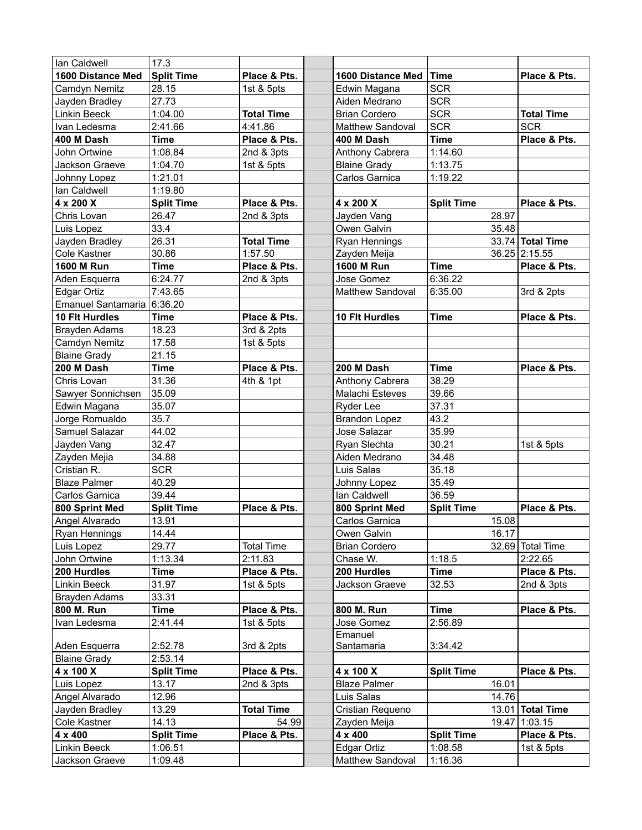| lan Caldwell              | 17.3              |                   |                      |                   |                   |
|---------------------------|-------------------|-------------------|----------------------|-------------------|-------------------|
| 1600 Distance Med         | <b>Split Time</b> | Place & Pts.      | 1600 Distance Med    | <b>Time</b>       | Place & Pts.      |
| Camdyn Nemitz             | 28.15             | 1st & 5pts        | Edwin Magana         | <b>SCR</b>        |                   |
| Jayden Bradley            | 27.73             |                   | Aiden Medrano        | <b>SCR</b>        |                   |
| Linkin Beeck              | 1:04.00           | <b>Total Time</b> | <b>Brian Cordero</b> | <b>SCR</b>        | <b>Total Time</b> |
| Ivan Ledesma              | 2:41.66           | 4:41.86           | Matthew Sandoval     | <b>SCR</b>        | <b>SCR</b>        |
| 400 M Dash                | <b>Time</b>       | Place & Pts.      | 400 M Dash           | <b>Time</b>       | Place & Pts.      |
| John Ortwine              | 1:08.84           | 2nd & 3pts        | Anthony Cabrera      | 1:14.60           |                   |
| Jackson Graeve            | 1:04.70           | 1st & 5pts        | <b>Blaine Grady</b>  | 1:13.75           |                   |
| Johnny Lopez              | 1:21.01           |                   | Carlos Garnica       | 1:19.22           |                   |
| lan Caldwell              | 1:19.80           |                   |                      |                   |                   |
| 4 x 200 X                 | <b>Split Time</b> | Place & Pts.      | 4 x 200 X            | <b>Split Time</b> | Place & Pts.      |
| Chris Lovan               | 26.47             | 2nd & 3pts        | Jayden Vang          | 28.97             |                   |
| Luis Lopez                | 33.4              |                   | Owen Galvin          | 35.48             |                   |
| Jayden Bradley            | 26.31             | <b>Total Time</b> | Ryan Hennings        |                   | 33.74 Total Time  |
| Cole Kastner              | 30.86             | 1:57.50           | Zayden Meija         |                   | 36.25 2:15.55     |
| <b>1600 M Run</b>         | <b>Time</b>       | Place & Pts.      | <b>1600 M Run</b>    | <b>Time</b>       | Place & Pts.      |
| Aden Esquerra             | 6:24.77           | 2nd & 3pts        | Jose Gomez           | 6:36.22           |                   |
| Edgar Ortiz               | 7:43.65           |                   | Matthew Sandoval     | 6:35.00           | 3rd & 2pts        |
| <b>Emanuel Santamaria</b> | 6:36.20           |                   |                      |                   |                   |
| 10 Flt Hurdles            | <b>Time</b>       | Place & Pts.      | 10 Flt Hurdles       | <b>Time</b>       | Place & Pts.      |
| Brayden Adams             | 18.23             | 3rd & 2pts        |                      |                   |                   |
| Camdyn Nemitz             | 17.58             | 1st & 5pts        |                      |                   |                   |
| <b>Blaine Grady</b>       | 21.15             |                   |                      |                   |                   |
| 200 M Dash                | <b>Time</b>       | Place & Pts.      | 200 M Dash           | <b>Time</b>       | Place & Pts.      |
| Chris Lovan               | 31.36             | 4th & 1pt         | Anthony Cabrera      | 38.29             |                   |
| Sawyer Sonnichsen         | 35.09             |                   | Malachi Esteves      | 39.66             |                   |
| Edwin Magana              | 35.07             |                   | Ryder Lee            | 37.31             |                   |
| Jorge Romualdo            | 35.7              |                   | <b>Brandon Lopez</b> | 43.2              |                   |
| Samuel Salazar            | 44.02             |                   | Jose Salazar         | 35.99             |                   |
| Jayden Vang               | 32.47             |                   | Ryan Slechta         | 30.21             | 1st & 5pts        |
| Zayden Mejia              | 34.88             |                   | Aiden Medrano        | 34.48             |                   |
| Cristian R.               | <b>SCR</b>        |                   | Luis Salas           | 35.18             |                   |
| <b>Blaze Palmer</b>       | 40.29             |                   | Johnny Lopez         | 35.49             |                   |
| Carlos Garnica            | 39.44             |                   | lan Caldwell         | 36.59             |                   |
| 800 Sprint Med            | <b>Split Time</b> | Place & Pts.      | 800 Sprint Med       | <b>Split Time</b> | Place & Pts.      |
| Angel Alvarado            | 13.91             |                   | Carlos Garnica       | 15.08             |                   |
| Ryan Hennings             | 14.44             |                   | Owen Galvin          | 16.17             |                   |
| Luis Lopez                | 29.77             | <b>Total Time</b> | <b>Brian Cordero</b> |                   | 32.69 Total Time  |
| John Ortwine              | 1:13.34           | 2:11.83           | Chase W.             | 1:18.5            | 2:22.65           |
| 200 Hurdles               | Time              | Place & Pts.      | 200 Hurdles          | <b>Time</b>       | Place & Pts.      |
| Linkin Beeck              | 31.97             | 1st & 5pts        | Jackson Graeve       | 32.53             | 2nd & 3pts        |
| Brayden Adams             | 33.31             |                   |                      |                   |                   |
| 800 M. Run                | Time              | Place & Pts.      | 800 M. Run           | Time              | Place & Pts.      |
| Ivan Ledesma              | 2:41.44           | 1st & 5pts        | Jose Gomez           | 2:56.89           |                   |
|                           |                   |                   | Emanuel              |                   |                   |
| Aden Esquerra             | 2:52.78           | 3rd & 2pts        | Santamaria           | 3:34.42           |                   |
| <b>Blaine Grady</b>       | 2:53.14           |                   |                      |                   |                   |
| 4 x 100 X                 | <b>Split Time</b> | Place & Pts.      | 4 x 100 X            | <b>Split Time</b> | Place & Pts.      |
| Luis Lopez                | 13.17             | 2nd & 3pts        | <b>Blaze Palmer</b>  | 16.01             |                   |
| Angel Alvarado            | 12.96             |                   | Luis Salas           | 14.76             |                   |
| Jayden Bradley            | 13.29             | <b>Total Time</b> | Cristian Requeno     |                   | 13.01 Total Time  |
| Cole Kastner              | 14.13             | 54.99             | Zayden Meija         |                   | 19.47 1:03.15     |
| 4 x 400                   | <b>Split Time</b> | Place & Pts.      | 4 x 400              | <b>Split Time</b> | Place & Pts.      |
| Linkin Beeck              | 1:06.51           |                   | Edgar Ortiz          | 1:08.58           | 1st & 5pts        |
| Jackson Graeve            | 1:09.48           |                   | Matthew Sandoval     | 1:16.36           |                   |
|                           |                   |                   |                      |                   |                   |